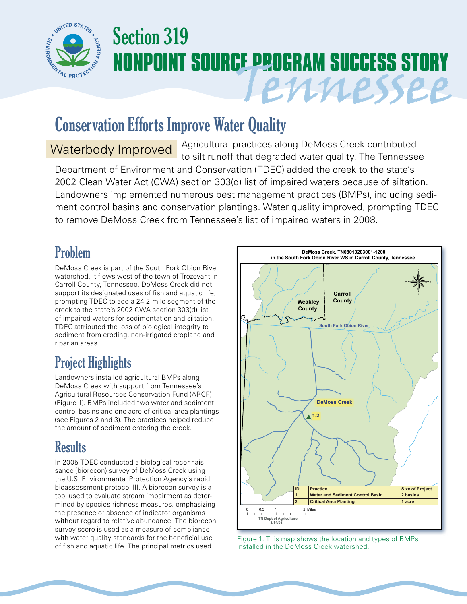

# Section 319 **NONPOINT SOURCE PROGRAM SUCCESS STORY** Tennessee

## Conservation Efforts Improve Water Quality

Agricultural practices along DeMoss Creek contributed Waterbody Improved Agricultural practices along Delvioss Creek contributed<br>to silt runoff that degraded water quality. The Tennessee Department of Environment and Conservation (TDEC) added the creek to the state's 2002 Clean Water Act (CWA) section 303(d) list of impaired waters because of siltation. Landowners implemented numerous best management practices (BMPs), including sediment control basins and conservation plantings. Water quality improved, prompting TDEC to remove DeMoss Creek from Tennessee's list of impaired waters in 2008.

### Problem

DeMoss Creek is part of the South Fork Obion River watershed. It flows west of the town of Trezevant in Carroll County, Tennessee. DeMoss Creek did not support its designated uses of fish and aquatic life, prompting TDEC to add a 24.2-mile segment of the creek to the state's 2002 CWA section 303(d) list of impaired waters for sedimentation and siltation. TDEC attributed the loss of biological integrity to sediment from eroding, non-irrigated cropland and riparian areas.

## Project Highlights

Landowners installed agricultural BMPs along DeMoss Creek with support from Tennessee's Agricultural Resources Conservation Fund (ARCF) (Figure 1). BMPs included two water and sediment control basins and one acre of critical area plantings (see Figures 2 and 3). The practices helped reduce the amount of sediment entering the creek.

#### **Results**

In 2005 TDEC conducted a biological reconnaissance (biorecon) survey of DeMoss Creek using the U.S. Environmental Protection Agency's rapid bioassessment protocol III. A biorecon survey is a tool used to evaluate stream impairment as determined by species richness measures, emphasizing the presence or absence of indicator organisms without regard to relative abundance. The biorecon survey score is used as a measure of compliance with water quality standards for the beneficial use of fish and aquatic life. The principal metrics used



Figure 1. This map shows the location and types of BMPs installed in the DeMoss Creek watershed.